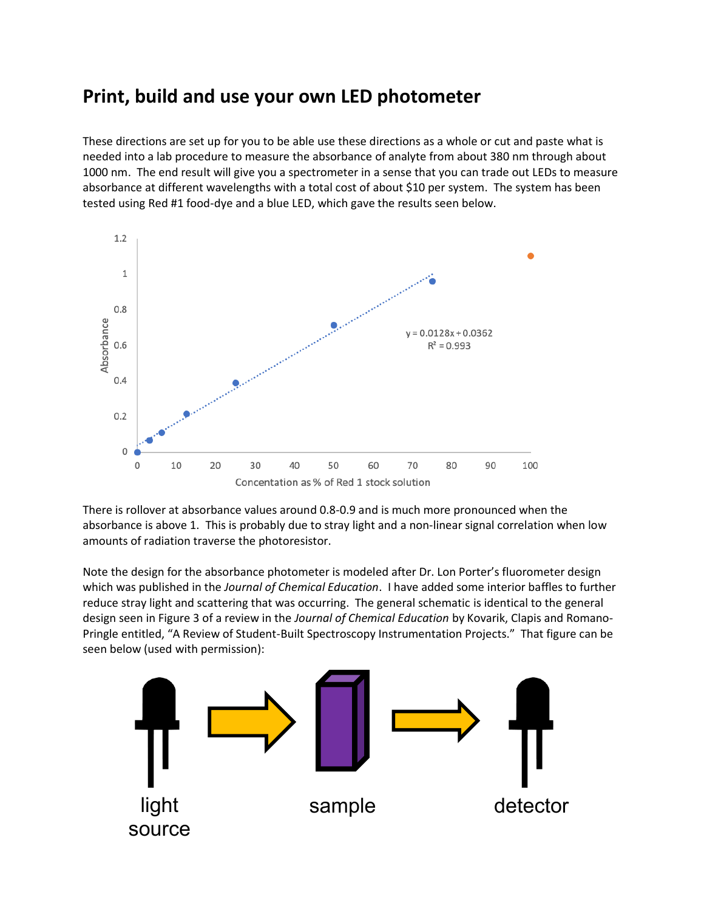# **Print, build and use your own LED photometer**

These directions are set up for you to be able use these directions as a whole or cut and paste what is needed into a lab procedure to measure the absorbance of analyte from about 380 nm through about 1000 nm. The end result will give you a spectrometer in a sense that you can trade out LEDs to measure absorbance at different wavelengths with a total cost of about \$10 per system. The system has been tested using Red #1 food-dye and a blue LED, which gave the results seen below.



There is rollover at absorbance values around 0.8-0.9 and is much more pronounced when the absorbance is above 1. This is probably due to stray light and a non-linear signal correlation when low amounts of radiation traverse the photoresistor.

Note the design for the absorbance photometer is modeled after Dr. Lon Porter's fluorometer design which was published in the *Journal of Chemical Education*. I have added some interior baffles to further reduce stray light and scattering that was occurring. The general schematic is identical to the general design seen in Figure 3 of a review in the *Journal of Chemical Education* by Kovarik, Clapis and Romano-Pringle entitled, "A Review of Student-Built Spectroscopy Instrumentation Projects." That figure can be seen below (used with permission):

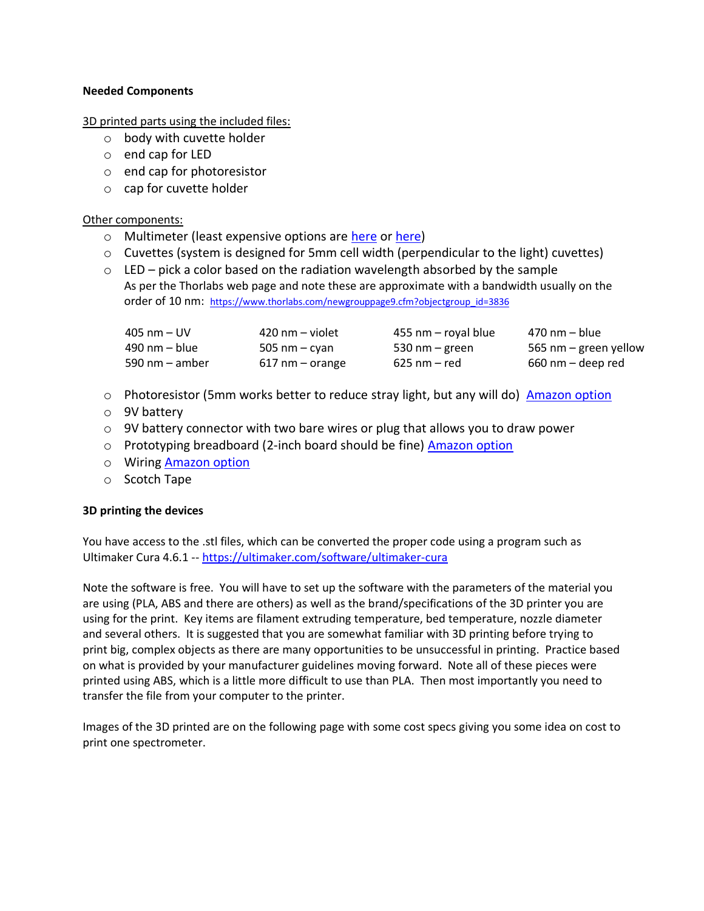## **Needed Components**

3D printed parts using the included files:

- o body with cuvette holder
- o end cap for LED
- o end cap for photoresistor
- o cap for cuvette holder

#### Other components:

- o Multimeter (least expensive options are [here](https://www.harborfreight.com/7-function-digital-multimeter-63759.html) or [here\)](https://www.amazon.com/Etekcity-Multimeter-MSR-R500-Electronic-Multimeters/dp/B01N9QW620/ref=pb_allspark_session_sims_desktop_469_4/138-9088205-6240742?_encoding=UTF8&pd_rd_i=B01N9QW620&pd_rd_r=9cab637a-5cc6-440a-b973-5e0178d0d16f&pd_rd_w=BG9IQ&pd_rd_wg=q85sn&pf_rd_p=6dab4af8-14d2-4d59-b0a2-dd973ff1f166&pf_rd_r=X38C7XZA1MZKSBP53H91&psc=1&refRID=X38C7XZA1MZKSBP53H91)
- o Cuvettes (system is designed for 5mm cell width (perpendicular to the light) cuvettes)
- $\circ$  LED pick a color based on the radiation wavelength absorbed by the sample As per the Thorlabs web page and note these are approximate with a bandwidth usually on the order of 10 nm: [https://www.thorlabs.com/newgrouppage9.cfm?objectgroup\\_id=3836](https://www.thorlabs.com/newgrouppage9.cfm?objectgroup_id=3836)

| $405$ nm $-$ UV  | 420 nm – violet   | 455 nm – royal blue | 470 nm – blue         |
|------------------|-------------------|---------------------|-----------------------|
| 490 nm – blue    | 505 nm – cyan     | 530 nm $-$ green    | 565 nm – green yellow |
| 590 nm $-$ amber | $617$ nm – orange | 625 nm – red        | 660 nm – deep red     |

- $\circ$  Photoresistor (5mm works better to reduce stray light, but any will do) [Amazon option](https://www.amazon.com/eBoot-Photoresistor-Sensitive-Resistor-Dependent/dp/B01N7V536K/ref=asc_df_B01N7V536K/?tag=hyprod-20&linkCode=df0&hvadid=242033424131&hvpos=&hvnetw=g&hvrand=12876202907289138332&hvpone=&hvptwo=&hvqmt=&hvdev=c&hvdvcmdl=&hvlocint=&hvlocphy=9022943&hvtargid=pla-397676869569&psc=1&language=en_US)
- o 9V battery
- $\circ$  9V battery connector with two bare wires or plug that allows you to draw power
- o Prototyping breadboard (2-inch board should be fine) [Amazon option](https://www.amazon.com/dp/B07LF71ZTS/ref=sr_1_2?dchild=1&keywords=prototype+bread&qid=1595295259&s=industrial&sr=1-2)
- o Wiring [Amazon option](https://www.amazon.com/EDGELEC-Breadboard-Optional-Assorted-Multicolored/dp/B07GD2BWPY/ref=pd_bxgy_img_3/138-9088205-6240742?_encoding=UTF8&pd_rd_i=B07GD2BWPY&pd_rd_r=dc93e699-fd56-4e7b-8502-8984f9cfeb5f&pd_rd_w=iQySB&pd_rd_wg=tr5p0&pf_rd_p=ce6c479b-ef53-49a6-845b-bbbf35c28dd3&pf_rd_r=GSXA4RNY251FGTN821HK&psc=1&refRID=GSXA4RNY251FGTN821HK)
- o Scotch Tape

## **3D printing the devices**

You have access to the .stl files, which can be converted the proper code using a program such as Ultimaker Cura 4.6.1 -- <https://ultimaker.com/software/ultimaker-cura>

Note the software is free. You will have to set up the software with the parameters of the material you are using (PLA, ABS and there are others) as well as the brand/specifications of the 3D printer you are using for the print. Key items are filament extruding temperature, bed temperature, nozzle diameter and several others. It is suggested that you are somewhat familiar with 3D printing before trying to print big, complex objects as there are many opportunities to be unsuccessful in printing. Practice based on what is provided by your manufacturer guidelines moving forward. Note all of these pieces were printed using ABS, which is a little more difficult to use than PLA. Then most importantly you need to transfer the file from your computer to the printer.

Images of the 3D printed are on the following page with some cost specs giving you some idea on cost to print one spectrometer.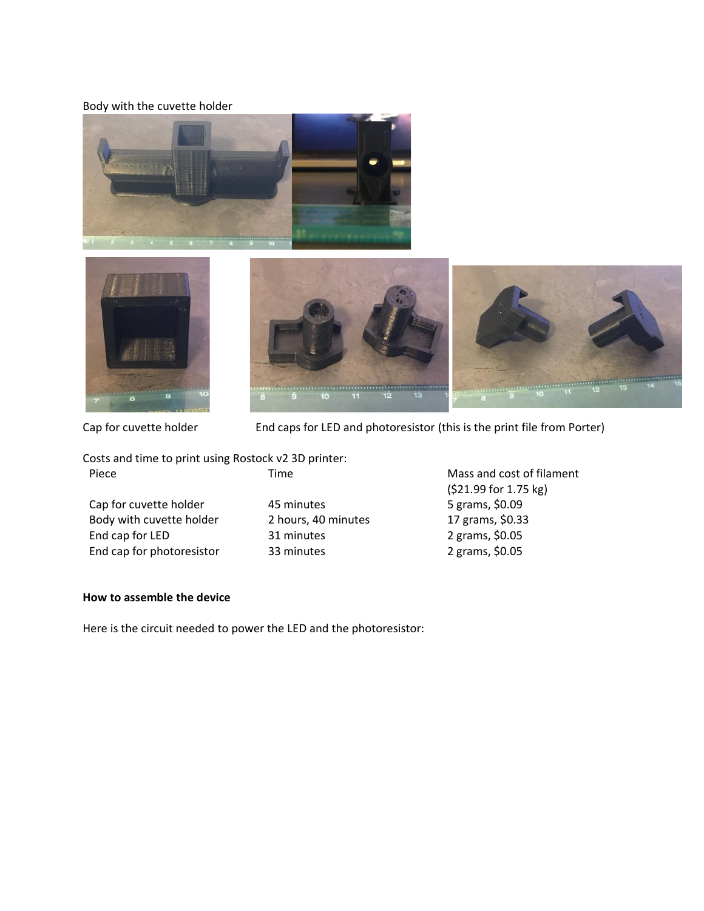#### Body with the cuvette holder







Cap for cuvette holder End caps for LED and photoresistor (this is the print file from Porter)

Costs and time to print using Rostock v2 3D printer: Piece Time Time Mass and cost of filament

Cap for cuvette holder and 45 minutes 45 minutes 5 grams, \$0.09 Body with cuvette holder 2 hours, 40 minutes 17 grams, \$0.33 End cap for LED 31 minutes 2 grams, \$0.05 End cap for photoresistor 33 minutes 2 grams, \$0.05

(\$21.99 for 1.75 kg)

# **How to assemble the device**

Here is the circuit needed to power the LED and the photoresistor: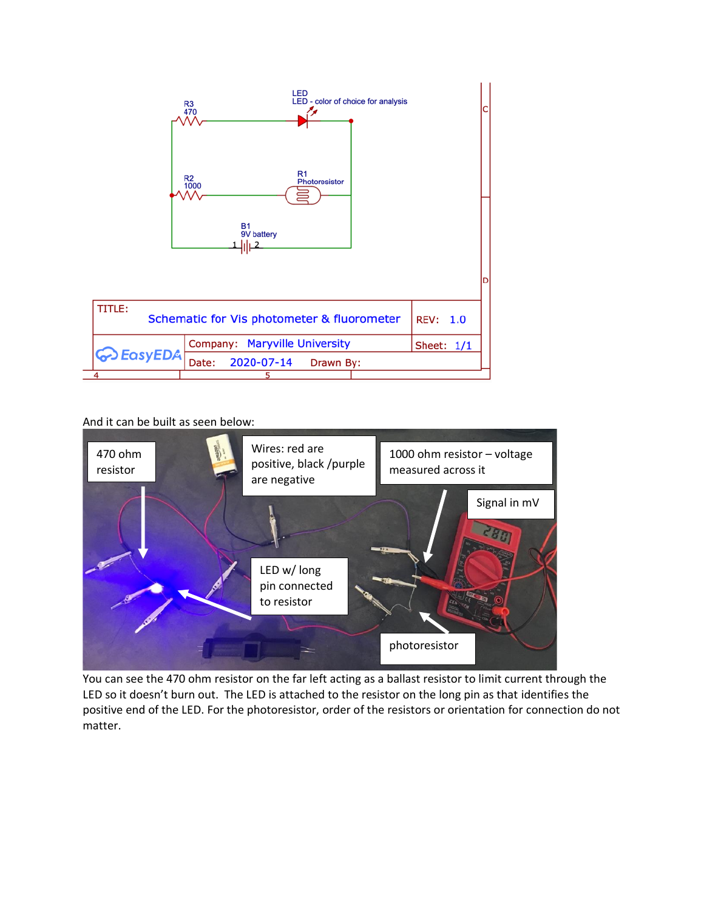

And it can be built as seen below:



You can see the 470 ohm resistor on the far left acting as a ballast resistor to limit current through the LED so it doesn't burn out. The LED is attached to the resistor on the long pin as that identifies the positive end of the LED. For the photoresistor, order of the resistors or orientation for connection do not matter.